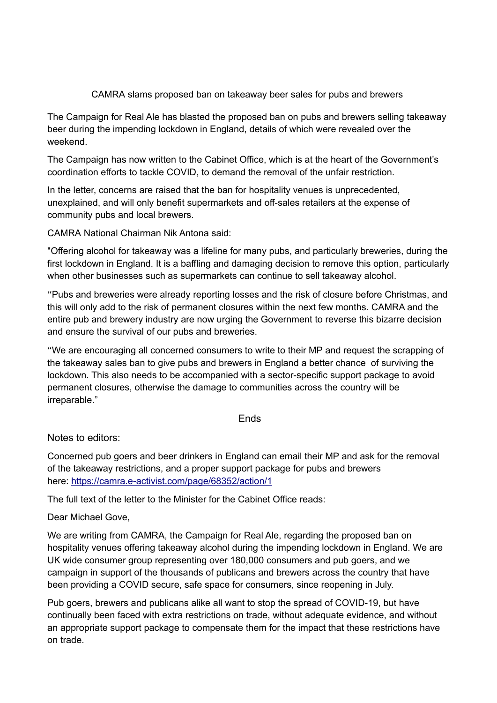## CAMRA slams proposed ban on takeaway beer sales for pubs and brewers

The Campaign for Real Ale has blasted the proposed ban on pubs and brewers selling takeaway beer during the impending lockdown in England, details of which were revealed over the weekend.

The Campaign has now written to the Cabinet Office, which is at the heart of the Government's coordination efforts to tackle COVID, to demand the removal of the unfair restriction.

In the letter, concerns are raised that the ban for hospitality venues is unprecedented, unexplained, and will only benefit supermarkets and off-sales retailers at the expense of community pubs and local brewers.

CAMRA National Chairman Nik Antona said:

"Offering alcohol for takeaway was a lifeline for many pubs, and particularly breweries, during the first lockdown in England. It is a baffling and damaging decision to remove this option, particularly when other businesses such as supermarkets can continue to sell takeaway alcohol.

"Pubs and breweries were already reporting losses and the risk of closure before Christmas, and this will only add to the risk of permanent closures within the next few months. CAMRA and the entire pub and brewery industry are now urging the Government to reverse this bizarre decision and ensure the survival of our pubs and breweries.

"We are encouraging all concerned consumers to write to their MP and request the scrapping of the takeaway sales ban to give pubs and brewers in England a better chance of surviving the lockdown. This also needs to be accompanied with a sector-specific support package to avoid permanent closures, otherwise the damage to communities across the country will be irreparable."

## Ends

Notes to editors:

Concerned pub goers and beer drinkers in England can email their MP and ask for the removal of the takeaway restrictions, and a proper support package for pubs and brewers here: [https://camra.e-activist.com/page/68352/action/1](http://link.mediaoutreach.meltwater.com/ls/click?upn=Fwf8sr6s-2BYF5KstANBgEOv7ic-2Bbx5yyLKtRaKgUglgVgtjuB6jOem2mMKeA2cXdcVLdAjAYQTRZYAFNxMGyShw-3D-3DhnKj_gjgRQElSQcebl37M77wGtGHHF0-2FQE2E7I81maF4drGDDabZmjGS83SL52UYlDvRuKH5Ilq1sCdkMh7-2FgCAMDSQWJ5XlDHVbhDa06qAXNext6nqJkc46Wo3nkMsfkffqN97IPV3Ua9s4wAjPlzeBq61ln0rdAX1GQz4p4qCBFEcpmjikjZbwmt7P2GigKgXUIWUH0cu0-2BpvqyMwtH9j64-2BG6WtvWwTuvYUNDJqZb8oKHEZPau1Ae2gCP9S1MtbbyqfgTug1wRqv2oJpdpHGzKXz17MZAoqEsc2AsoWSaRqZUx7zeGzRiSPJH2wFshRtkXULA3Va87gXaksdx7gsPP7iYUvR3JSzxAnmy9pFX2MKPAaMdNIvCrwnXYcX2SkWskJEpTfwgM7XVWFtR00s9IUw-3D-3D)

The full text of the letter to the Minister for the Cabinet Office reads:

Dear Michael Gove,

We are writing from CAMRA, the Campaign for Real Ale, regarding the proposed ban on hospitality venues offering takeaway alcohol during the impending lockdown in England. We are UK wide consumer group representing over 180,000 consumers and pub goers, and we campaign in support of the thousands of publicans and brewers across the country that have been providing a COVID secure, safe space for consumers, since reopening in July.

Pub goers, brewers and publicans alike all want to stop the spread of COVID-19, but have continually been faced with extra restrictions on trade, without adequate evidence, and without an appropriate support package to compensate them for the impact that these restrictions have on trade.